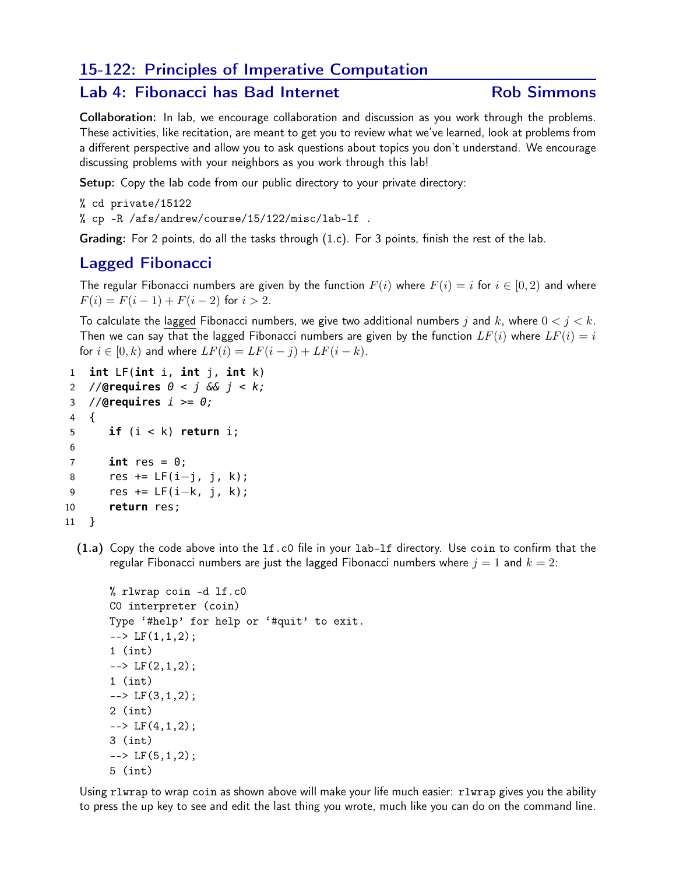# 15-122: Principles of Imperative Computation

### Lab 4: Fibonacci has Bad Internet The Rob Simmons

Collaboration: In lab, we encourage collaboration and discussion as you work through the problems. These activities, like recitation, are meant to get you to review what we've learned, look at problems from a different perspective and allow you to ask questions about topics you don't understand. We encourage discussing problems with your neighbors as you work through this lab!

Setup: Copy the lab code from our public directory to your private directory:

% cd private/15122

% cp -R /afs/andrew/course/15/122/misc/lab-lf .

Grading: For 2 points, do all the tasks through (1.c). For 3 points, finish the rest of the lab.

# Lagged Fibonacci

The regular Fibonacci numbers are given by the function  $F(i)$  where  $F(i) = i$  for  $i \in [0, 2)$  and where  $F(i) = F(i-1) + F(i-2)$  for  $i > 2$ .

To calculate the lagged Fibonacci numbers, we give two additional numbers j and k, where  $0 < j < k$ . Then we can say that the lagged Fibonacci numbers are given by the function  $LF(i)$  where  $LF(i) = i$ for  $i \in [0, k)$  and where  $LF(i) = LF(i - j) + LF(i - k)$ .

```
1 int LF(int i, int j, int k)
2 //@requires 0 < j && j < k;
3 //@requires i >= 0;
4 {
5 if (i < k) return i;
6
7 int res = 0;
8 res += LF(i−j, j, k);
9 res += LF(i−k, j, k);
10 return res;
11 }
```
(1.a) Copy the code above into the lf.c0 file in your lab-lf directory. Use coin to confirm that the regular Fibonacci numbers are just the lagged Fibonacci numbers where  $j = 1$  and  $k = 2$ :

```
% rlwrap coin -d lf.c0
C0 interpreter (coin)
Type '#help' for help or '#quit' to exit.
\leftarrow \leftarrow LF(1,1,2);
1 (int)
\leftarrow \leftarrow LF(2,1,2);
1 (int)
\leftarrow \leftarrow LF(3,1,2);
2 (int)
\leftarrow \leftarrow LF(4,1,2);
3 (int)
\leftarrow \leftarrow LF(5,1,2);
5 (int)
```
Using rlwrap to wrap coin as shown above will make your life much easier: rlwrap gives you the ability to press the up key to see and edit the last thing you wrote, much like you can do on the command line.